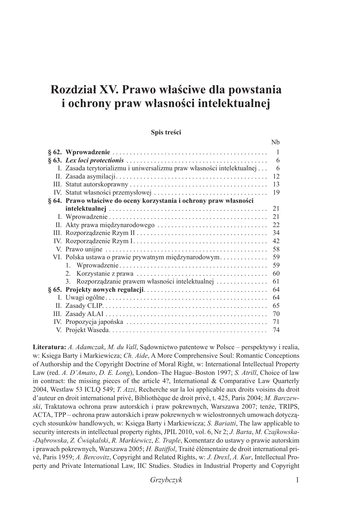# **Rozdział XV. Prawo właściwe dla powstania i ochrony praw własności intelektualnej**

#### **Spis treści**

|                                                                        | -1 |
|------------------------------------------------------------------------|----|
|                                                                        | 6  |
| I. Zasada terytorializmu i uniwersalizmu praw własności intelektualnej | 6  |
|                                                                        | 12 |
|                                                                        | 13 |
|                                                                        | 19 |
| § 64. Prawo właściwe do oceny korzystania i ochrony praw własności     |    |
|                                                                        | 21 |
|                                                                        | 21 |
|                                                                        | 22 |
|                                                                        | 34 |
|                                                                        | 42 |
|                                                                        | 58 |
| VI. Polska ustawa o prawie prywatnym międzynarodowym                   | 59 |
|                                                                        | 59 |
|                                                                        | 60 |
| 3. Rozporządzanie prawem własności intelektualnej                      | 61 |
|                                                                        | 64 |
|                                                                        | 64 |
|                                                                        | 65 |
|                                                                        | 70 |
|                                                                        | 71 |
|                                                                        | 74 |

**Literatura:** *A. Adamczak*, *M. du Vall*, Sądownictwo patentowe w Polsce – perspektywy i realia, w: Księga Barty i Markiewicza; *Ch. Aide*, A More Comprehensive Soul: Romantic Conceptions of Authorship and the Copyright Doctrine of Moral Right, w: International Intellectual Property Law (red. *A. D'Amato*, *D. E. Long*), London–The Hague–Boston 1997; *S. Atrill*, Choice of law in contract: the missing pieces of the article 4?, International & Comparative Law Quarterly 2004, Westlaw 53 ICLQ 549; *T. Azzi*, Recherche sur la loi applicable aux droits voisins du droit d'auteur en droit international privé, Bibliothèque de droit privé, t. 425, Paris 2004; *M. Barczewski*, Traktatowa ochrona praw autorskich i praw pokrewnych, Warszawa 2007; tenże, TRIPS, ACTA, TPP – ochrona praw autorskich i praw pokrewnych w wielostronnych umowach dotyczących stosunków handlowych, w: Księga Barty i Markiewicza; *S. Bariatti*, The law applicable to security interests in intellectual property rights, JPIL 2010, vol. 6, Nr 2; *J. Barta*, *M. Czajkowska- -Dąbrowska*, *Z. Ćwiąkalski*, *R. Markiewicz*, *E. Traple*, Komentarz do ustawy o prawie autorskim i prawach pokrewnych, Warszawa 2005; *H. Batiffol*, Traité élémentaire de droit international privé, Paris 1959; *A. Bercovitz*, Copyright and Related Rights, w: *J. Drexl*, *A. Kur*, Intellectual Property and Private International Law, IIC Studies. Studies in Industrial Property and Copyright

 $N<sub>b</sub>$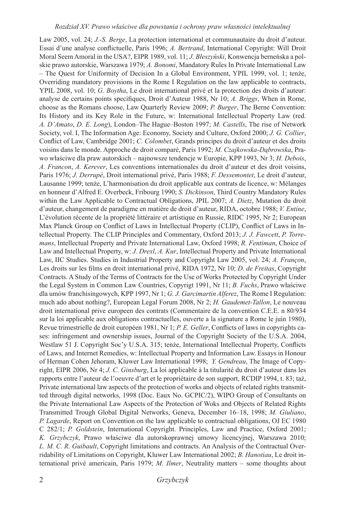Law 2005, vol. 24; *J.-S. Berge*, La protection international et communautaire du droit d'auteur. Essai d'une analyse conflictuelle, Paris 1996; *A. Bertrand*, International Copyright: Will Droit Moral Seem Amoral in the USA?, EIPR 1989, vol. 11; *J. Błeszyński*, Konwencja berneńska a polskie prawo autorskie, Warszawa 1979; *A. Bonomi*, Mandatory Rules In Private International Law – The Quest for Uniformity of Decision In a Global Environment, YPIL 1999, vol. 1; tenże, Overriding mandatory provisions in the Rome I Regulation on the law applicable to contracts, YPIL 2008, vol. 10; *G. Boytha*, Le droit international privé et la protection des droits d'auteur: analyse de certains points specifiques, Droit d'Auteur 1988, Nr 10; *A. Briggs*, When in Rome, choose as the Romans choose, Law Quarterly Review 2009; *P. Burger*, The Berne Convention: Its History and its Key Role in the Future, w: International Intellectual Property Law (red. *A. D'Amato*, *D. E. Long*), London–The Hague–Boston 1997; *M. Castells*, The rise of Network Society, vol. I, The Information Age: Economy, Society and Culture, Oxford 2000; *J. G. Collier*, Conflict of Law, Cambridge 2001; *C. Colombet*, Grands principes du droit d'auteur et des droits voisins dans le monde. Approche de droit comparé, Paris 1992; *M. Czajkowska-Dąbrowska*, Prawo właściwe dla praw autorskich – najnowsze tendencje w Europie, KPP 1993, Nr 3; *H. Debois*, *A. Francon*, *A. Kerever*, Les conventions internationales du droit d'auteur et des droit voisins, Paris 1976; *J. Derrupé*, Droit international privé, Paris 1988; *F. Dessemontet*, Le droit d'auteur, Lausanne 1999; tenże, L'harmonisation du droit applicable aux contrats de licence, w: Mélanges en honneur d'Alfred E. Overbeck, Fribourg 1990; *S. Dickinson*, Third Country Mandatory Rules within the Law Applicable to Contractual Obligations, JPIL 2007; *A. Dietz*, Mutation du droit d'auteur, changement de paradigme en matière de droit d'auteur, RIDA, octobre 1988; *V. Entine*, L'évolution récente de la propriété littéraire et artistique en Russie, RIDC 1995, Nr 2; European Max Planck Group on Conflict of Laws in Intellectual Property (CLIP), Conflict of Laws in Intellectual Property. The CLIP Principles and Commentary, Oxford 2013; *J. J. Fawcett*, *P. Torremans*, Intellectual Property and Private International Law, Oxford 1998; *R. Fentiman*, Choice of Law and Intellectual Property, w: *J. Drexl*, *A. Kur*, Intellectual Property and Private International Law, IIC Studies. Studies in Industrial Property and Copyright Law 2005, vol. 24; *A. Françon*, Les droits sur les films en droit international privé, RIDA 1972, Nr 10; *D. de Freitas*, Copyright Contracts. A Study of the Terms of Contracts for the Use of Works Protected by Copyright Under the Legal System in Common Law Countries, Copyrigt 1991, Nr 11; *B. Fuchs*, Prawo właściwe dla umów franchisingowych, KPP 1997, Nr 1; *G. J. Garcimartin Alferez*, The Rome I Regulation: much ado about nothing?, European Legal Forum 2008, Nr 2; *H. Gaudemet-Tallon*, Le nouveau droit international prive europeen des contrats (Commentaire de la convention C.E.E. n 80/934 sur la loi applicable aux obligations contractuelles, ouverte a la signature a Rome le juin 1980), Revue trimestrielle de droit européen 1981, Nr 1; *P. E. Geller*, Conflicts of laws in copyrights cases: infringement and ownership issues, Journal of the Copyright Society of the U.S.A. 2004, Westlaw 51 J. Copyright Soc'y U.S.A. 315; tenże, International Intellectual Property, Conflicts of Laws, and Internet Remedies, w: Intellectual Property and Information Law. Essays in Honour of Herman Cohen Jehoram, Kluwer Law International 1998; *Y. Gendreau*, The Image of Copyright, EIPR 2006, Nr 4; *J. C. Ginsburg*, La loi applicable à la titularité du droit d'auteur dans les rapports entre l'auteur de l'oeuvre d'art et le propriétaire de son support, RCDIP 1994, t. 83; taż, Private international law aspects of the protection of works and objects of related rights transmitted through digital networks, 1998 (Doc. Eaux No. GCPIC/2), WIPO Group of Consultants on the Private International Law Aspects of the Protection of Woks and Objects of Related Rights Transmitted Trough Global Digital Networks, Geneva, December 16–18, 1998; *M. Giuliano*, *P. Lagarde*, Report on Convention on the law applicable to contractual obligations, OJ EC 1980 C 282/1; *P. Goldstein*, International Copyright. Principles, Law and Practice, Oxford 2001; *K. Grzybczyk*, Prawo właściwe dla autorskoprawnej umowy licencyjnej, Warszawa 2010; *L. M. C. R. Guibault*, Copyright limitations and contracts. An Analysis of the Contractual Overridability of Limitations on Copyright, Kluwer Law International 2002; *B. Hanotiau*, Le droit international privé americain, Paris 1979; *M. Ilmer*, Neutrality matters – some thoughts about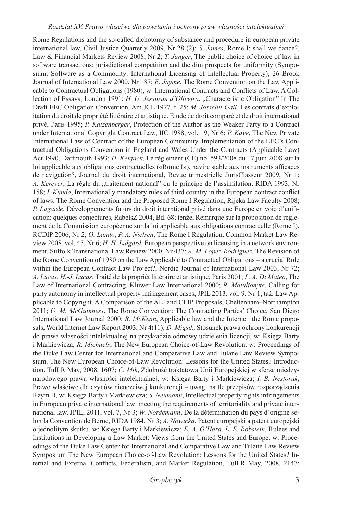Rome Regulations and the so-called dichotomy of substance and procedure in european private international law, Civil Justice Quarterly 2009, Nr 28 (2); *S. James*, Rome I: shall we dance?, Law & Financial Markets Review 2008, Nr 2; *T. Janger*, The public choice of choice of law in software transactions: jurisdictional competition and the dim prospects for uniformity (Symposium: Software as a Commodity: International Licensing of Intellectual Property), 26 Brook Journal of International Law 2000, Nr 187; *E. Jayme*, The Rome Convention on the Law Applicable to Contractual Obligations (1980), w: International Contracts and Conflicts of Law. A Collection of Essays, London 1991; *H. U. Jessurun d'Oliveira*, "Characteristic Obligation" In The Draft EEC Obligation Convention, Am.JCL 1977, t. 25; *M. Josselin-Gall*, Les contrats d'exploitation du droit de propriété littéraire et artistique. Étude de droit comparé et de droit international privé, Paris 1995; *P. Katzenberger*, Protection of the Author as the Weaker Party to a Contract under International Copyright Contract Law, IIC 1988, vol. 19, Nr 6; *P. Kaye*, The New Private International Law of Contract of the European Community. Implementation of the EEC's Contractual Obligations Convention in England and Wales Under the Contracts (Applicable Law) Act 1990, Dartmouth 1993; *H. Kenfack*, Le règlement (CE) no. 593/2008 du 17 juin 2008 sur la loi applicable aux obligations contractuelles («Rome I»), navire stable aux instruments afficaces de navigation?, Journal du droit international, Revue trimestrielle JurisClasseur 2009, Nr 1; *A. Kerever*, La règle du "traitement national" ou le principe de l'assimilation, RIDA 1993, Nr 158; *I. Kunda*, Internationally mandatory rules of third country in the European contract conflict of laws. The Rome Convention and the Proposed Rome I Regulation, Rijeka Law Faculty 2008; *P. Lagarde*, Développements futurs du droit interntional privé dans une Europe en voie d'unification: quelques conjectures, RabelsZ 2004, Bd. 68; tenże, Remarque sur la proposition de réglement de la Commission européenne sur la loi applicable aux obligations contractuelle (Rome I), RCDIP 2006, Nr 2; *O. Lando*, *P. A. Nielsen*, The Rome I Regulation, Common Market Law Review 2008, vol. 45, Nr 6; *H. H. Lidgard*, European perspective on licensing in a network environment, Suffolk Transnational Law Review 2000, Nr 437; *A. M. Lopez-Rodriguez*, The Revision of the Rome Convention of 1980 on the Law Applicable to Contractual Obligations – a crucial Role within the European Contract Law Project?, Nordic Journal of International Law 2003, Nr 72; *A. Lucas*, *H.-J. Lucas*, Traité de la propriét littéraire et artistique, Paris 2001; *L. A. Di Mateo*, The Law of International Contracting, Kluwer Law International 2000; *R. Matulionyte*, Calling for party autonomy in intellectual property infringement cases, JPIL 2013, vol. 9, Nr 1; taż, Law Applicable to Copyright. A Comparison of the ALI and CLIP Proposals, Cheltenham–Northampton 2011; *G. M. McGuinness*, The Rome Convention: The Contracting Parties' Choice, San Diego International Law Journal 2000; *R. McKean*, Applicable law and the Internet: the Rome proposals, World Internet Law Report 2003, Nr 4(11); *D. Miąsik*, Stosunek prawa ochrony konkurencji do prawa własności intelektualnej na przykładzie odmowy udzielenia licencji, w: Księga Barty i Markiewicza; *R. Michaels*, The New European Choice-of-Law Revolution, w: Proceedings of the Duke Law Center for International and Comparative Law and Tulane Law Review Symposium. The New European Choice-of-Law Revolution: Lessons for the United States? Introduction, TulLR May, 2008, 1607; *C. Mik*, Zdolność traktatowa Unii Europejskiej w sferze międzynarodowego prawa własności intelektualnej, w: Księga Barty i Markiewicza; *I. B. Nestoruk*, Prawo właściwe dla czynów nieuczciwej konkurencji – uwagi na tle przepisów rozporządzenia Rzym II, w: Księga Barty i Markiewicza; *S. Neumann*, Intellectual property rights infringements in European private international law: meeting the requirements of territoriality and private international law, JPIL, 2011, vol. 7, Nr 3; *W. Nordemann*, De la détermination du pays d'origine selon la Convention de Berne, RIDA 1984, Nr 3; *A. Nowicka*, Patent europejski a patent europejski o jednolitym skutku, w: Księga Barty i Markiewicza; *E. A. O'Hara*, *L. E. Robstein*, Rulees and Institutions in Developing a Law Market: Views from the United States and Europe, w: Proceedings of the Duke Law Center for International and Comparative Law and Tulane Law Review Symposium The New European Choice-of-Law Revolution: Lessons for the United States? Internal and External Conflicts, Federalism, and Market Regulation, TulLR May, 2008, 2147;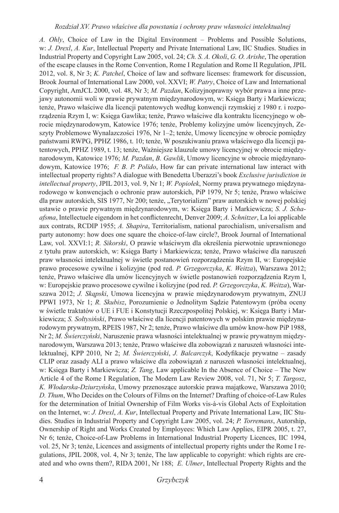*A. Ohly*, Choice of Law in the Digital Environment – Problems and Possible Solutions, w: *J. Drexl*, *A. Kur*, Intellectual Property and Private International Law, IIC Studies. Studies in Industrial Property and Copyright Law 2005, vol. 24; *Ch. S. A. Okoli*, *G. O. Arishe*, The operation of the escape clauses in the Rome Convention, Rome I Regulation and Rome II Regulation, JPIL 2012, vol. 8, Nr 3; *K. Patchel*, Choice of law and software licenses: framework for discussion, Brook Journal of International Law 2000, vol. XXVI; *W. Patry*, Choice of Law and International Copyright, AmJCL 2000, vol. 48, Nr 3; *M. Pazdan*, Kolizyjnoprawny wybór prawa a inne przejawy autonomii woli w prawie prywatnym międzynarodowym, w: Księga Barty i Markiewicza; tenże, Prawo właściwe dla licencji patentowych według konwencji rzymskiej z 1980 r. i rozporządzenia Rzym I, w: Księga Gawlika; tenże, Prawo właściwe dla kontraktu licencyjnego w obrocie międzynarodowym, Katowice 1976; tenże, Problemy kolizyjne umów licencyjnych, Zeszyty Problemowe Wynalazczości 1976, Nr 1–2; tenże, Umowy licencyjne w obrocie pomiędzy państwami RWPG, PPHZ 1986, t. 10; tenże, W poszukiwaniu prawa właściwego dla licencji patentowych, PPHZ 1989, t. 13; tenże, Ważniejsze klauzule umowy licencyjnej w obrocie międzynarodowym, Katowice 1976; *M. Pazdan*, *B. Gawlik*, Umowy licencyjne w obrocie międzynarodowym, Katowice 1976; *F. B. P. Polido*, How far can private international law interact with intellectual property rights? A dialogue with Benedetta Uberazzi's book *Exclusive jurisdiction in intellectual property*, JPIL 2013, vol. 9, Nr 1; *W. Popiołek*, Normy prawa prywatnego międzynarodowego w konwencjach o ochronie praw autorskich, PiP 1979, Nr 5; tenże, Prawo właściwe dla praw autorskich, SIS 1977, Nr 200; tenże, "Terytorializm" praw autorskich w nowej polskiej ustawie o prawie prywatnym międzynarodowym, w: Księga Barty i Markiewicza; *S. J. Schaafsma*, Intellectuele eigendom in het conflictenrecht, Denver 2009; *A. Schnitzer*, La loi applicable aux contrats, RCDIP 1955; *A. Shapira*, Territorialism, national parochialism, universalism and party autonomy: how does one square the choice-of-law circle?, Brook Journal of International Law, vol. XXVI:1; *R. Sikorski*, O prawie właściwym dla określenia pierwotnie uprawnionego z tytułu praw autorskich, w: Księga Barty i Markiewicza; tenże, Prawo właściwe dla naruszeń praw własności intelektualnej w świetle postanowień rozporządzenia Rzym II, w: Europejskie prawo procesowe cywilne i kolizyjne (pod red. *P. Grzegorczyka*, *K. Weitza*), Warszawa 2012; tenże, Prawo właściwe dla umów licencyjnych w świetle postanowień rozporządzenia Rzym I, w: Europejskie prawo procesowe cywilne i kolizyjne (pod red. *P. Grzegorczyka*, *K. Weitza*), Warszawa 2012; *J. Skąpski*, Umowa licencyjna w prawie międzynarodowym prywatnym, ZNUJ PPWI 1973, Nr 1; *R. Skubisz*, Porozumienie o Jednolitym Sądzie Patentowym (próba oceny w świetle traktatów o UE i FUE i Konstytucji Rzeczpospolitej Polskiej, w: Księga Barty i Markiewicza; *S. Sołtysiński*, Prawo właściwe dla licencji patentowych w polskim prawie międzynarodowym prywatnym, RPEIS 1987, Nr 2; tenże, Prawo właściwe dla umów know-how PiP 1988, Nr 2; *M. Świerczyński*, Naruszenie prawa własności intelektualnej w prawie prywatnym międzynarodowym, Warszawa 2013; tenże, Prawo właściwe dla zobowiązań z naruszeń własności intelektualnej, KPP 2010, Nr 2; *M. Świerczyński*, *J. Balcarczyk*, Kodyfikacje prywatne – zasady CLIP oraz zasady ALI a prawo właściwe dla zobowiązań z naruszeń własności intelektualnej, w: Księga Barty i Markiewicza; *Z. Tang*, Law applicable In the Absence of Choice – The New Article 4 of the Rome I Regulation, The Modern Law Review 2008, vol. 71, Nr 5; *T. Targosz*, *K. Włodarska-Dziurzyńska*, Umowy przenoszące autorskie prawa majątkowe, Warszawa 2010; *D. Thum*, Who Decides on the Colours of Films on the Internet? Drafting of choice-of-Law Rules for the determination of Initial Ownership of Film Works vis-à-vis Global Acts of Exploitation on the Internet, w: *J. Drexl*, *A. Kur*, Intellectual Property and Private International Law, IIC Studies. Studies in Industrial Property and Copyright Law 2005, vol. 24; *P. Torremans*, Autorship, Ownership of Right and Works Created by Employees: Which Law Applies, EIPR 2005, t. 27, Nr 6; tenże, Choice-of-Law Problems in International Industrial Property Licences, IIC 1994, vol. 25, Nr 3; tenże, Licences and assigments of intellectual property rights under the Rome I regulations, JPIL 2008, vol. 4, Nr 3; tenże, The law applicable to copyright: which rights are created and who owns them?, RIDA 2001, Nr 188; *E. Ulmer*, Intellectual Property Rights and the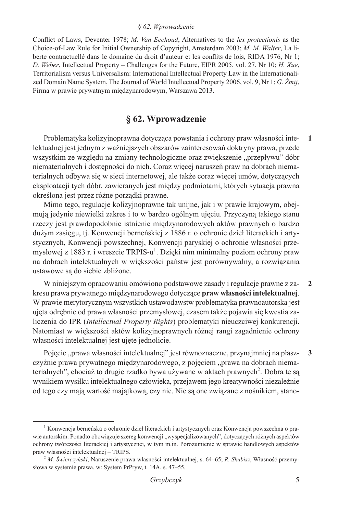#### *§ 62. Wprowadzenie*

Conflict of Laws, Deventer 1978; *M. Van Eechoud*, Alternatives to the *lex protectionis* as the Choice-of-Law Rule for Initial Ownership of Copyright, Amsterdam 2003; *M. M. Walter*, La liberte contractuellé dans le domaine du droit d'auteur et les conflits de lois, RIDA 1976, Nr 1; *D. Weber*, Intellectual Property – Challenges for the Future, EIPR 2005, vol. 27, Nr 10; *H. Xue*, Territorialism versus Universalism: International Intellectual Property Law in the Internationalized Domain Name System, The Journal of World Intellectual Property 2006, vol. 9, Nr 1; *G. Żmij*, Firma w prawie prywatnym międzynarodowym, Warszawa 2013.

## **§ 62. Wprowadzenie**

Problematyka kolizyjnoprawna dotycząca powstania i ochrony praw własności intelektualnej jest jednym z ważniejszych obszarów zainteresowań doktryny prawa, przede wszystkim ze względu na zmiany technologiczne oraz zwiększenie "przepływu" dóbr niematerialnych i dostępności do nich. Coraz więcej naruszeń praw na dobrach niematerialnych odbywa się w sieci internetowej, ale także coraz więcej umów, dotyczących eksploatacji tych dóbr, zawieranych jest między podmiotami, których sytuacja prawna określona jest przez różne porządki prawne. **1**

Mimo tego, regulacje kolizyjnoprawne tak unijne, jak i w prawie krajowym, obejmują jedynie niewielki zakres i to w bardzo ogólnym ujęciu. Przyczyną takiego stanu rzeczy jest prawdopodobnie istnienie międzynarodowych aktów prawnych o bardzo dużym zasięgu, tj. Konwencji berneńskiej z 1886 r. o ochronie dzieł literackich i artystycznych, Konwencji powszechnej, Konwencji paryskiej o ochronie własności przemysłowej z 1883 r. i wreszcie TRPIS-u<sup>1</sup>. Dzięki nim minimalny poziom ochrony praw na dobrach intelektualnych w większości państw jest porównywalny, a rozwiązania ustawowe są do siebie zbliżone.

W niniejszym opracowaniu omówiono podstawowe zasady i regulacje prawne z zakresu prawa prywatnego międzynarodowego dotyczące **praw własności intelektualnej**. W prawie merytorycznym wszystkich ustawodawstw problematyka prawnoautorska jest ujęta odrębnie od prawa własności przemysłowej, czasem także pojawia się kwestia zaliczenia do IPR (*Intellectual Property Rights*) problematyki nieuczciwej konkurencji. Natomiast w większości aktów kolizyjnoprawnych różnej rangi zagadnienie ochrony własności intelektualnej jest ujęte jednolicie. **2**

Pojęcie "prawa własności intelektualnej" jest równoznaczne, przynajmniej na płaszczyźnie prawa prywatnego międzynarodowego, z pojęciem "prawa na dobrach niematerialnych", chociaż to drugie rzadko bywa używane w aktach prawnych<sup>2</sup>. Dobra te są wynikiem wysiłku intelektualnego człowieka, przejawem jego kreatywności niezależnie od tego czy mają wartość majątkową, czy nie. Nie są one związane z nośnikiem, stano-**3**

<sup>1</sup> Konwencja berneńska o ochronie dzieł literackich i artystycznych oraz Konwencja powszechna o prawie autorskim. Ponadto obowiązuje szereg konwencji "wyspecjalizowanych", dotyczących różnych aspektów ochrony twórczości literackiej i artystycznej, w tym m.in. Porozumienie w sprawie handlowych aspektów praw własności intelektualnej – TRIPS.

<sup>2</sup> *M. Świerczyński*, Naruszenie prawa własności intelektualnej, s. 64–65; *R. Skubisz*, Własność przemysłowa w systemie prawa, w: System PrPryw, t. 14A, s. 47–55.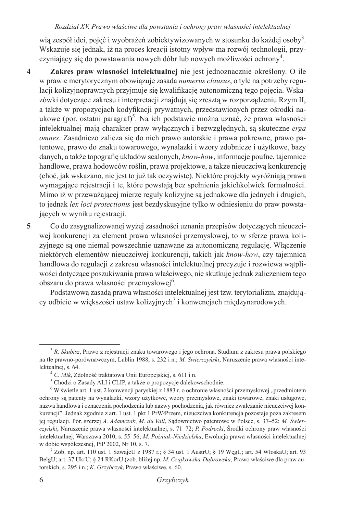#### *Rozdział XV. Prawo właściwe dla powstania i ochrony praw własności intelektualnej*

wią zespół idei, pojęć i wyobrażeń zobiektywizowanych w stosunku do każdej osoby<sup>3</sup>. Wskazuje się jednak, iż na proces kreacji istotny wpływ ma rozwój technologii, przyczyniający się do powstawania nowych dóbr lub nowych możliwości ochrony<sup>4</sup>.

- **Zakres praw własności intelektualnej** nie jest jednoznacznie określony. O ile w prawie merytorycznym obowiązuje zasada *numerus clausus*, o tyle na potrzeby regulacji kolizyjnoprawnych przyjmuje się kwalifikację autonomiczną tego pojęcia. Wskazówki dotyczące zakresu i interpretacji znajdują się zresztą w rozporządzeniu Rzym II, a także w propozycjach kodyfikacji prywatnych, przedstawionych przez ośrodki naukowe (por. ostatni paragraf)<sup>5</sup>. Na ich podstawie można uznać, że prawa własności intelektualnej mają charakter praw wyłącznych i bezwzględnych, są skuteczne *erga omnes*. Zasadniczo zalicza się do nich prawo autorskie i prawa pokrewne, prawo patentowe, prawo do znaku towarowego, wynalazki i wzory zdobnicze i użytkowe, bazy danych, a także topografię układów scalonych, *know-how*, informacje poufne, tajemnice handlowe, prawa hodowców roślin, prawa projektowe, a także nieuczciwą konkurencję (choć, jak wskazano, nie jest to już tak oczywiste). Niektóre projekty wyróżniają prawa wymagające rejestracji i te, które powstają bez spełnienia jakichkolwiek formalności. Mimo iż w przeważającej mierze reguły kolizyjne są jednakowe dla jednych i drugich, to jednak *lex loci protectionis* jest bezdyskusyjne tylko w odniesieniu do praw powstających w wyniku rejestracji. **4**
- Co do zasygnalizowanej wyżej zasadności uznania przepisów dotyczących nieuczciwej konkurencji za element prawa własności przemysłowej, to w sferze prawa kolizyjnego są one niemal powszechnie uznawane za autonomiczną regulację. Włączenie niektórych elementów nieuczciwej konkurencji, takich jak *know-how*, czy tajemnica handlowa do regulacji z zakresu własności intelektualnej precyzuje i rozwiewa wątpliwości dotyczące poszukiwania prawa właściwego, nie skutkuje jednak zaliczeniem tego obszaru do prawa własności przemysłowej<sup>6</sup>. **5**

Podstawową zasadą prawa własności intelektualnej jest tzw. terytorializm, znajdujący odbicie w większości ustaw kolizyjnych<sup>7</sup> i konwencjach międzynarodowych.

<sup>3</sup> *R. Skubisz*, Prawo z rejestracji znaku towarowego i jego ochrona. Studium z zakresu prawa polskiego na tle prawno-porównawczym, Lublin 1988, s. 232 i n.; *M. Świerczyński*, Naruszenie prawa własności intelektualnej, s. 64. 4 *C. Mik*, Zdolność traktatowa Unii Europejskiej, s. 611 i n.

<sup>5</sup> Chodzi o Zasady ALI i CLIP, a także o propozycje dalekowschodnie.

<sup>&</sup>lt;sup>6</sup> W świetle art. 1 ust. 2 konwencji paryskiej z 1883 r. o ochronie własności przemysłowej "przedmiotem ochrony są patenty na wynalazki, wzory użytkowe, wzory przemysłowe, znaki towarowe, znaki usługowe, nazwa handlowa i oznaczenia pochodzenia lub nazwy pochodzenia, jak również zwalczanie nieuczciwej konkurencji". Jednak zgodnie z art. 1 ust. 1 pkt 1 PrWłPrzem, nieuczciwa konkurencja pozostaje poza zakresem jej regulacji. Por. szerzej *A. Adamczak*, *M. du Vall*, Sądownictwo patentowe w Polsce, s. 37–52; *M. Świerczyński*, Naruszenie prawa własności intelektualnej, s. 71–72; *P. Podrecki*, Środki ochrony praw własności intelektualnej, Warszawa 2010, s. 55–56; *M. Poźniak*-*Niedzielska*, Ewolucja prawa własności intelektualnej w dobie współczesnej, PiP 2002, Nr 10, s. 7.

<sup>7</sup> Zob. np. art. 110 ust. 1 SzwajcU z 1987 r.; § 34 ust. 1 AustrU; § 19 WęgU; art. 54 WłoskaU; art. 93 BelgU; art. 37 UkrU; § 24 RKorU (zob. bliżej np. *M. Czajkowska-Dąbrowska*, Prawo właściwe dla praw autorskich, s. 295 i n.; *K. Grzybczyk*, Prawo właściwe, s. 60.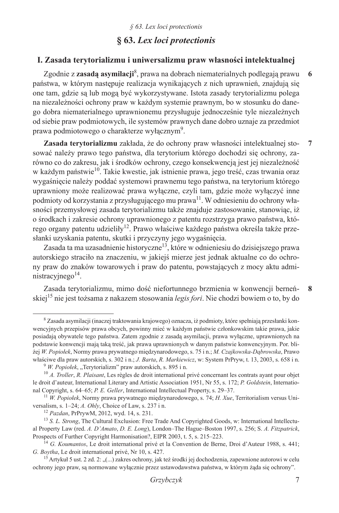## **§ 63.** *Lex loci protectionis*

### **I. Zasada terytorializmu i uniwersalizmu praw własności intelektualnej**

Zgodnie z **zasadą asymilacji**<sup>8</sup> , prawa na dobrach niematerialnych podlegają prawu państwa, w którym następuje realizacja wynikających z nich uprawnień, znajdują się one tam, gdzie są lub mogą być wykorzystywane. Istota zasady terytorializmu polega na niezależności ochrony praw w każdym systemie prawnym, bo w stosunku do danego dobra niematerialnego uprawnionemu przysługuje jednocześnie tyle niezależnych od siebie praw podmiotowych, ile systemów prawnych dane dobro uznaje za przedmiot prawa podmiotowego o charakterze wyłącznym<sup>9</sup>. **6**

**Zasada terytorializmu** zakłada, że do ochrony praw własności intelektualnej stosować należy prawo tego państwa, dla terytorium którego dochodzi się ochrony, zarówno co do zakresu, jak i środków ochrony, czego konsekwencją jest jej niezależność w każdym państwie<sup>10</sup>. Takie kwestie, jak istnienie prawa, jego treść, czas trwania oraz wygaśnięcie należy poddać systemowi prawnemu tego państwa, na terytorium którego uprawniony może realizować prawa wyłączne, czyli tam, gdzie może wyłączyć inne podmioty od korzystania z przysługującego mu prawa<sup>11</sup>. W odniesieniu do ochrony własności przemysłowej zasada terytorializmu także znajduje zastosowanie, stanowiąc, iż o środkach i zakresie ochrony uprawnionego z patentu rozstrzyga prawo państwa, którego organy patentu udzieliły<sup>12</sup>. Prawo właściwe każdego państwa określa także przesłanki uzyskania patentu, skutki i przyczyny jego wygaśnięcia. **7**

Zasada ta ma uzasadnienie historyczne13, które w odnieniesiu do dzisiejszego prawa autorskiego straciło na znaczeniu, w jakiejś mierze jest jednak aktualne co do ochrony praw do znaków towarowych i praw do patentu, powstających z mocy aktu administracyjnego $14$ .

Zasada terytorializmu, mimo dość niefortunnego brzmienia w konwencji berneńskiej<sup>15</sup> nie jest tożsama z nakazem stosowania *legis fori*. Nie chodzi bowiem o to, by do **8**

<sup>&</sup>lt;sup>8</sup> Zasada asymilacji (inaczej traktowania krajowego) oznacza, iż podmioty, które spełniają przesłanki konwencyjnych przepisów prawa obcych, powinny mieć w każdym państwie członkowskim takie prawa, jakie posiadają obywatele tego państwa. Zatem zgodnie z zasadą asymilacji, prawa wyłączne, uprawnionych na podstawie konwencji mają taką treść, jak prawa uprawnionych w danym państwie konwencyjnym. Por. bliżej *W. Popiołek*, Normy prawa prywatnego międzynarodowego, s. 75 i n.; *M. Czajkowska-Dąbrowska*, Prawo właściwe dla praw autorskich, s. 302 i n.; *J. Barta*, *R. Markiewicz*, w: System PrPryw, t. 13, 2003, s. 658 i n. <sup>9</sup> *W. Popiolek*, "Terytorializm" praw autorskich, s. 895 i n.

<sup>10</sup> *A. Troller*, *R. Plaisant*, Les règles de droit international privé concernant les contrats ayant pour objet le droit d'auteur, International Literary and Artistic Association 1951, Nr 55, s. 172; *P. Goldstein*, International Copyright, s. 64–65; *P. E. Geller*, International Intellectual Property, s. 29–37.

<sup>11</sup> *W. Popiołek*, Normy prawa prywatnego międzynarodowego, s. 74; *H. Xue*, Territorialism versus Universalism, s. 1–24; *A. Ohly*, Choice of Law, s. 237 i n.

<sup>12</sup> *Pazdan*, PrPrywM, 2012, wyd. 14, s. 231.

<sup>13</sup> *S. L. Strong*, The Cultural Exclusion: Free Trade And Copyrighted Goods, w: International Intellectual Property Law (red. *A. D'Amato*, *D. E. Long*), London–The Hague–Boston 1997, s. 256; S. *A. Fitzpatrick*, Prospects of Further Copyright Harmonisation?, EIPR 2003, t. 5, s. 215–223.

<sup>14</sup> *G. Koumantos*, Le droit international privé et la Convention de Berne, Droi d'Auteur 1988, s. 441; *G. Boytha*, Le droit international privé, Nr 10, s. 427.

<sup>&</sup>lt;sup>15</sup> Artykuł 5 ust. 2 zd. 2: "(...) zakres ochrony, jak też środki jej dochodzenia, zapewnione autorowi w celu ochrony jego praw, są normowane wyłącznie przez ustawodawstwa państwa, w którym żąda się ochrony".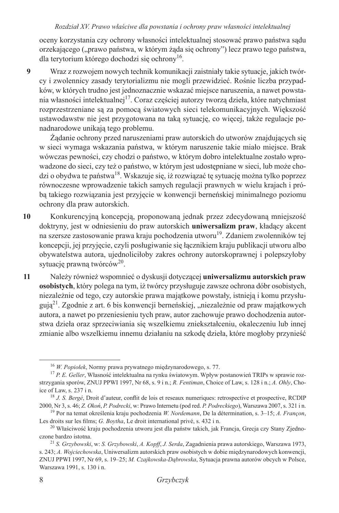oceny korzystania czy ochrony własności intelektualnej stosować prawo państwa sądu orzekającego ("prawo państwa, w którym żąda się ochrony") lecz prawo tego państwa, dla terytorium którego dochodzi się ochrony16.

Wraz z rozwojem nowych technik komunikacji zaistniały takie sytuacje, jakich twórcy i zwolennicy zasady terytorializmu nie mogli przewidzieć. Rośnie liczba przypadków, w których trudno jest jednoznacznie wskazać miejsce naruszenia, a nawet powstania własności intelektualnej<sup>17</sup>. Coraz częściej autorzy tworzą dzieła, które natychmiast rozprzestrzeniane są za pomocą światowych sieci telekomunikacyjnych. Większość ustawodawstw nie jest przygotowana na taką sytuację, co więcej, także regulacje ponadnarodowe unikają tego problemu. **9**

Żądanie ochrony przed naruszeniami praw autorskich do utworów znajdujących się w sieci wymaga wskazania państwa, w którym naruszenie takie miało miejsce. Brak wówczas pewności, czy chodzi o państwo, w którym dobro intelektualne zostało wprowadzone do sieci, czy też o państwo, w którym jest udostępniane w sieci, lub może chodzi o obydwa te państwa18. Wskazuje się, iż rozwiązać tę sytuację można tylko poprzez równoczesne wprowadzenie takich samych regulacji prawnych w wielu krajach i próbą takiego rozwiązania jest przyjęcie w konwencji berneńskiej minimalnego poziomu ochrony dla praw autorskich.

- Konkurencyjną koncepcją, proponowaną jednak przez zdecydowaną mniejszość doktryny, jest w odniesieniu do praw autorskich **uniwersalizm praw**, kładący akcent na szersze zastosowanie prawa kraju pochodzenia utworu<sup>19</sup>. Zdaniem zwolenników tej koncepcji, jej przyjęcie, czyli posługiwanie się łącznikiem kraju publikacji utworu albo obywatelstwa autora, ujednoliciłoby zakres ochrony autorskoprawnej i polepszyłoby sytuację prawną twórców<sup>20</sup>. **10**
- Należy również wspomnieć o dyskusji dotyczącej **uniwersalizmu autorskich praw osobistych**, który polega na tym, iż twórcy przysługuje zawsze ochrona dóbr osobistych, niezależnie od tego, czy autorskie prawa majątkowe powstały, istnieją i komu przysługują<sup>21</sup>. Zgodnie z art. 6 bis konwencji berneńskiej, "niezależnie od praw majątkowych autora, a nawet po przeniesieniu tych praw, autor zachowuje prawo dochodzenia autorstwa dzieła oraz sprzeciwiania się wszelkiemu zniekształceniu, okaleczeniu lub innej zmianie albo wszelkiemu innemu działaniu na szkodę dzieła, które mogłoby przynieść **11**

<sup>16</sup> *W. Popiołek*, Normy prawa prywatnego międzynarodowego, s. 77.

<sup>17</sup> *P. E. Geller*, Własność intelektualna na rynku światowym. Wpływ postanowień TRIPs w sprawie rozstrzygania sporów, ZNUJ PPWI 1997, Nr 68, s. 9 i n.; *R. Fentiman*, Choice of Law, s. 128 i n.; *A. Ohly*, Choice of Law, s. 237 i n. 18 *J. S. Bergé*, Droit d'auteur, conflit de lois et reseaux numeriques: retrospective et prospective, RCDIP

<sup>2000,</sup> Nr 3, s. 46; Z. Okoń, P. Podrecki, w: Prawo Internetu (pod red. P. Podreckiego), Warszawa 2007, s. 321 i n. <sup>19</sup> Por na temat określenia kraju pochodzenia *W. Nordemann*, De la détermination, s. 3–15; A. Françon,

Les droits sur les films; *G. Boytha*, Le droit international privé, s. 432 i n.

<sup>&</sup>lt;sup>20</sup> Właściwość kraju pochodzenia utworu jest dla państw takich, jak Francja, Grecja czy Stany Zjednoczone bardzo istotna.

<sup>21</sup> *S. Grzybowski*, w: *S. Grzybowski*, *A. Kopff*, *J. Serda*, Zagadnienia prawa autorskiego, Warszawa 1973, s. 243; *A. Wojciechowska*, Uniwersalizm autorskich praw osobistych w dobie międzynarodowych konwencji, ZNUJ PPWI 1997, Nr 69, s. 19–25; *M. Czajkowska-Dąbrowska*, Sytuacja prawna autorów obcych w Polsce, Warszawa 1991, s. 130 i n.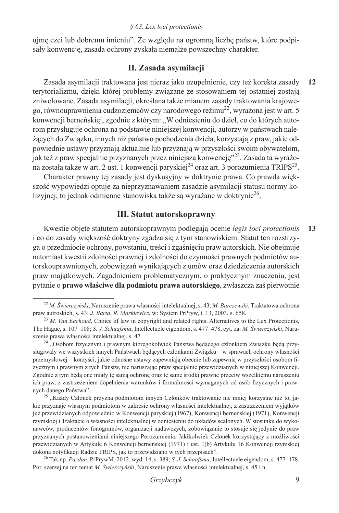#### *§ 63. Lex loci protectionis*

ujmę czci lub dobremu imieniu". Ze względu na ogromną liczbę państw, które podpisały konwencję, zasada ochrony zyskała niemalże powszechny charakter.

### **II. Zasada asymilacji**

Zasada asymilacji traktowana jest nieraz jako uzupełnienie, czy też korekta zasady terytorializmu, dzięki której problemy związane ze stosowaniem tej ostatniej zostają zniwelowane. Zasada asymilacji, określana także mianem zasady traktowania krajowego, równouprawnienia cudzoziemców czy narodowego reżimu<sup>22</sup>, wyrażona jest w art. 5 konwencji berneńskiej, zgodnie z którym: "W odniesieniu do dzieł, co do których autorom przysługuje ochrona na podstawie niniejszej konwencji, autorzy w państwach należących do Związku, innych niż państwo pochodzenia dzieła, korzystają z praw, jakie odpowiednie ustawy przyznają aktualnie lub przyznają w przyszłości swoim obywatelom, jak też z praw specjalnie przyznanych przez niniejszą konwencję"23. Zasada ta wyrażona została także w art. 2 ust. 1 konwencji paryskiej<sup>24</sup> oraz art. 3 porozumienia TRIPS<sup>25</sup>. **12**

Charakter prawny tej zasady jest dyskusyjny w doktrynie prawa. Co prawda większość wypowiedzi optuje za nieprzyznawaniem zasadzie asymilacji statusu normy kolizyjnej, to jednak odmienne stanowiska także są wyrażane w doktrynie<sup>26</sup>.

### **III. Statut autorskoprawny**

Kwestie objęte statutem autorskoprawnym podlegają ocenie *legis loci protectionis* i co do zasady większość doktryny zgadza się z tym stanowiskiem. Statut ten rozstrzyga o przedmiocie ochrony, powstaniu, treści i zgaśnięciu praw autorskich. Nie obejmuje natomiast kwestii zdolności prawnej i zdolności do czynności prawnych podmiotów autorskouprawnionych, zobowiązań wynikających z umów oraz dziedziczenia autorskich praw majątkowych. Zagadnieniem problematycznym, o praktycznym znaczeniu, jest pytanie o **prawo właściwe dla podmiotu prawa autorskiego**, zwłaszcza zaś pierwotnie **13**

<sup>22</sup> *M. Świerczyński*, Naruszenie prawa własności intelektualnej, s. 43; *M. Barczewski*, Traktatowa ochrona praw autroskich, s. 43; *J. Barta*, *R. Markiewicz*, w: System PrPryw, t. 13, 2003, s. 658.

<sup>&</sup>lt;sup>23</sup> *M. Van Eechoud*, Choice of law in copyright and related rights. Alternatives to the Lex Protectionis, The Hague, s. 107–108; *S. J. Schaafsma*, Intellectuele eigendom, s. 477–478, cyt. za: *M. Świerczyński*, Naruszenie prawa własności intelektualnej, s. 47.

<sup>&</sup>lt;sup>24</sup> "Osobom fizycznym i prawnym któregokolwiek Państwa będącego członkiem Związku będą przysługiwały we wszystkich innych Państwach będących członkami Związku – w sprawach ochrony własności przemysłowej – korzyści, jakie odnośne ustawy zapewniają obecnie lub zapewnią w przyszłości osobom fizycznym i prawnym z tych Państw, nie naruszając praw specjalnie przewidzianych w niniejszej Konwencji. Zgodnie z tym będą one miały tę samą ochronę oraz te same środki prawne przeciw wszelkiemu naruszeniu ich praw, z zastrzeżeniem dopełnienia warunków i formalmości wymaganych od osób fizycznych i prawnych danego Państwa".

<sup>&</sup>lt;sup>25</sup> "Każdy Członek przyzna podmiotom innych Członków traktowanie nie mniej korzystne niż to, jakie przyznaje własnym podmiotom w zakresie ochrony własności intelektualnej, z zastrzeżeniem wyjątków już przewidzianych odpowiednio w Konwencji paryskiej (1967), Konwencji berneńskiej (1971), Konwencji rzymskiej i Traktacie o własności intelektualnej w odniesieniu do układów scalonych. W stosunku do wykonawców, producentów fonogramów, organizacji nadawczych, zobowiązanie to stosuje się jedynie do praw przyznanych postanowieniami niniejszego Porozumienia. Jakikolwiek Członek korzystający z możliwości przewidzianych w Artykule 6 Konwencji berneńskiej (1971) i ust. 1(b) Artykułu 16 Konwencji rzymskiej dokona notyfikacji Radzie TRIPS, jak to przewidziano w tych przepisach". 26 Tak np. *Pazdan*, PrPrywM, 2012, wyd. 14, s. 389; *S. J. Schaafsma*, Intellectuele eigendom, s. 477–478.

Por. szerzej na ten temat *M. Świerczyński*, Naruszenie prawa własności intelektualnej, s. 45 i n.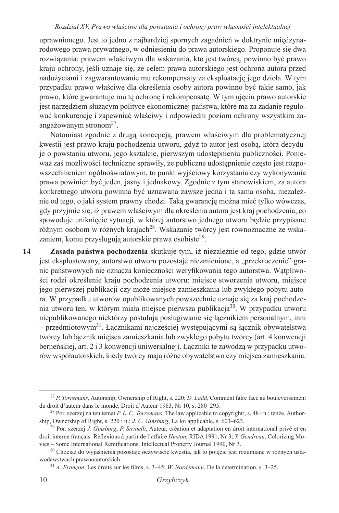uprawnionego. Jest to jedno z najbardziej spornych zagadnień w doktrynie międzynarodowego prawa prywatnego, w odniesieniu do prawa autorskiego. Proponuje się dwa rozwiązania: prawem właściwym dla wskazania, kto jest twórcą, powinno być prawo kraju ochrony, jeśli uznaje się, że celem prawa autorskiego jest ochrona autora przed nadużyciami i zagwarantowanie mu rekompensaty za eksploatację jego dzieła. W tym przypadku prawo właściwe dla określenia osoby autora powinno być takie samo, jak prawo, które gwarantuje mu tę ochronę i rekompensatę. W tym ujęciu prawo autorskie jest narzędziem służącym polityce ekonomicznej państwa, które ma za zadanie regulować konkurencję i zapewniać właściwy i odpowiedni poziom ochrony wszystkim zaangażowanym stronom $27$ .

Natomiast zgodnie z drugą koncepcją, prawem właściwym dla problematycznej kwestii jest prawo kraju pochodzenia utworu, gdyż to autor jest osobą, która decyduje o powstaniu utworu, jego kształcie, pierwszym udostępnieniu publiczności. Ponieważ zaś możliwości techniczne sprawiły, że publiczne udostępnienie często jest rozpowszechnieniem ogólnoświatowym, to punkt wyjściowy korzystania czy wykonywania prawa powinien być jeden, jasny i jednakowy. Zgodnie z tym stanowiskiem, za autora konkretnego utworu powinna być uznawana zawsze jedna i ta sama osoba, niezależnie od tego, o jaki system prawny chodzi. Taką gwarancję można mieć tylko wówczas, gdy przyjmie się, iż prawem właściwym dla określenia autora jest kraj pochodzenia, co spowoduje uniknięcie sytuacji, w której autorstwo jednego utworu będzie przypisane różnym osobom w różnych krajach<sup>28</sup>. Wskazanie twórcy jest równoznaczne ze wskazaniem, komu przysługują autorskie prawa osobiste<sup>29</sup>.

**Zasada państwa pochodzenia** skutkuje tym, iż niezależnie od tego, gdzie utwór jest eksploatowany, autorstwo utworu pozostaje niezmienione, a "przekroczenie" granic państwowych nie oznacza konieczności weryfikowania tego autorstwa. Wątpliwości rodzi określenie kraju pochodzenia utworu: miejsce stworzenia utworu, miejsce jego pierwszej publikacji czy może miejsce zamieszkania lub zwykłego pobytu autora. W przypadku utworów opublikowanych powszechnie uznaje się za kraj pochodzenia utworu ten, w którym miała miejsce pierwsza publikacja<sup>30</sup>. W przypadku utworu niepublikowanego niektórzy postulują posługiwanie się łącznikiem personalnym, inni – przedmiotowym31. Łącznikami najczęściej występującymi są łącznik obywatelstwa twórcy lub łącznik miejsca zamieszkania lub zwykłego pobytu twórcy (art. 4 konwencji berneńskiej, art. 2 i 3 konwencji uniwersalnej). Łączniki te zawodzą w przypadku utworów współautorskich, kiedy twórcy mają różne obywatelstwo czy miejsca zamieszkania. **14**

<sup>27</sup> *P. Torremans*, Autorship, Ownership of Right, s. 220; *D. Ladd*, Comment faire face au bouleversement du droit d'auteur dans le monde, Droit d'Auteur 1983, Nr 10, s. 280–295.

<sup>&</sup>lt;sup>28</sup> Por. szerzej na ten temat *P. L. C. Torremans*, The law applicable to copyright:, s. 48 i n.; tenże, Author-<br>ship, Ownership of Right, s. 220 i n.; *J. C. Ginsburg*, La loi applicable, s. 603–623.

<sup>&</sup>lt;sup>29</sup> Por. szerzej *J. Ginsburg*, *P. Sirinelli*, Auteur, création et adaptation en droit international privé et en droit interne français: Rèflexions à partir de l'affaire *Huston*, RIDA 1991, Nr 3; *Y. Gendreau*, Colorizing Movies – Some International Remifications, Intellectual Property Journal 1990, Nr 3.

<sup>30</sup> Chociaż do wyjaśnienia pozostaje oczywiście kwestia, jak to pojęcie jest rozumiane w różnych ustawodawstwach prawnoautorskich.

<sup>31</sup> *A. Françon*, Les droits sur les films, s. 3–45; *W. Nordemann*, De la determination, s. 3–25.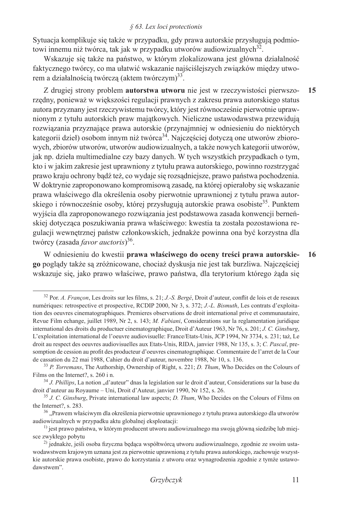#### *§ 63. Lex loci protectionis*

Sytuacja komplikuje się także w przypadku, gdy prawa autorskie przysługują podmiotowi innemu niż twórca, tak jak w przypadku utworów audiowizualnych<sup>32</sup>.

Wskazuje się także na państwo, w którym zlokalizowana jest główna działalność faktycznego twórcy, co ma ułatwić wskazanie najściślejszych związków między utworem a działalnością twórczą (aktem twórczym)<sup>33</sup>.

Z drugiej strony problem **autorstwa utworu** nie jest w rzeczywistości pierwszorzędny, ponieważ w większości regulacji prawnych z zakresu prawa autorskiego status autora przyznany jest rzeczywistemu twórcy, który jest równocześnie pierwotnie uprawnionym z tytułu autorskich praw majątkowych. Nieliczne ustawodawstwa przewidują rozwiązania przyznające prawa autorskie (przynajmniej w odniesieniu do niektórych kategorii dzieł) osobom innym niż twórca<sup>34</sup>. Najczęściej dotyczą one utworów zbiorowych, zbiorów utworów, utworów audiowizualnych, a także nowych kategorii utworów, jak np. dzieła multimedialne czy bazy danych. W tych wszystkich przypadkach o tym, kto i w jakim zakresie jest uprawniony z tytułu prawa autorskiego, powinno rozstrzygać prawo kraju ochrony bądź też, co wydaje się rozsądniejsze, prawo państwa pochodzenia. W doktrynie zaproponowano kompromisową zasadę, na której opierałoby się wskazanie prawa właściwego dla określenia osoby pierwotnie uprawnionej z tytułu prawa autorskiego i równocześnie osoby, której przysługują autorskie prawa osobiste<sup>35</sup>. Punktem wyjścia dla zaproponowanego rozwiązania jest podstawowa zasada konwencji berneńskiej dotycząca poszukiwania prawa właściwego: kwestia ta została pozostawiona regulacji wewnętrznej państw członkowskich, jednakże powinna ona być korzystna dla twórcy (zasada *favor auctoris*) <sup>36</sup>. **15**

W odniesieniu do kwestii **prawa właściwego do oceny treści prawa autorskiego** poglądy także są zróżnicowane, chociaż dyskusja nie jest tak burzliwa. Najczęściej wskazuje się, jako prawo właściwe, prawo państwa, dla terytorium którego żąda się **16**

<sup>32</sup> Por. *A. Françon*, Les droits sur les films, s. 21; *J.-S. Bergé*, Droit d'auteur, conflit de lois et de reseaux numériques: retrospective et prospective, RCDIP 2000, Nr 3, s. 372; *J.-L. Bismuth*, Les contrats d'exploitation des oeuvres cinematographiques. Premieres observations de droit international prive et communautaire, Revue Film echange, juillet 1989, Nr 2, s. 143; *M. Fabiani*, Considerations sur la reglamentation juridique international des droits du productuer cinematographique, Droit d'Auteur 1963, Nr 76, s. 201; *J. C. Ginsburg*, L'exploitation international de l'oeuvre audiovisuelle: France/Etats-Unis, JCP 1994, Nr 3734, s. 231; taż, Le droit au respect des oeuvres audiovisuelles aux Etats-Unis, RIDA, janvier 1988, Nr 135, s. 3; *C. Pascal*, presomption de cession au profit des producteur d'oeuvres cinematographique. Commentaire de l'arret de la Cour de cassation du 22 mai 1988, Cahier du droit d'auteur, novembre 1988, Nr 10, s. 136.

<sup>33</sup> *P. Torremans*, The Authorship, Ownership of Right, s. 221; *D. Thum*, Who Decides on the Colours of Films on the Internet?, s. 260 i n.

<sup>&</sup>lt;sup>34</sup> *J. Phillips*, La notion "d'auteur" dnas la legislation sur le droit d'auteur, Considerations sur la base du droit d'auteur au Royaume – Uni, Droit d'Auteur, janvier 1990, Nr 152, s. 26.

<sup>35</sup> *J. C. Ginsburg*, Private international law aspects; *D. Thum*, Who Decides on the Colours of Films on the Internet?, s. 283.

<sup>&</sup>lt;sup>36</sup> "Prawem właściwym dla określenia pierwotnie uprawnionego z tytułu prawa autorskiego dla utworów audiowizualnych w przypadku aktu globalnej eksploatacji:

<sup>&</sup>lt;sup>1)</sup> jest prawo państwa, w którym producent utworu audiowizualnego ma swoją główną siedzibę lub miejsce zwykłego pobytu

<sup>&</sup>lt;sup>2)</sup> jednakże, jeśli osoba fizyczna będąca współtwórcą utworu audiowizualnego, zgodnie ze swoim ustawodawstwem krajowym uznana jest za pierwotnie uprawnioną z tytułu prawa autorskiego, zachowuje wszystkie autorskie prawa osobiste, prawo do korzystania z utworu oraz wynagrodzenia zgodnie z tymże ustawodawstwem".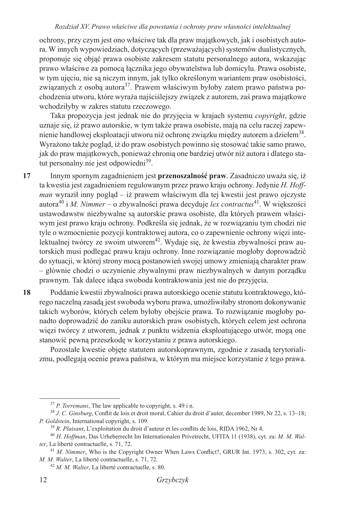ochrony, przy czym jest ono właściwe tak dla praw majątkowych, jak i osobistych autora. W innych wypowiedziach, dotyczących (przeważających) systemów dualistycznych, proponuje się objąć prawa osobiste zakresem statutu personalnego autora, wskazując prawo właściwe za pomocą łącznika jego obywatelstwa lub domicylu. Prawa osobiste, w tym ujęciu, nie są niczym innym, jak tylko określonym wariantem praw osobistości, związanych z osobą autora<sup>37</sup>. Prawem właściwym byłoby zatem prawo państwa pochodzenia utworu, które wyraża najściślejszy związek z autorem, zaś prawa majątkowe wchodziłyby w zakres statutu rzeczowego.

Taka propozycja jest jednak nie do przyjęcia w krajach systemu *copyright*, gdzie uznaje się, iż prawo autorskie, w tym także prawa osobiste, mają na celu raczej zapewnienie handlowej eksploatacji utworu niż ochronę związku między autorem a dziełem<sup>38</sup>. Wyrażono także pogląd, iż do praw osobistych powinno się stosować takie samo prawo, jak do praw majątkowych, ponieważ chronią one bardziej utwór niż autora i dlatego statut personalny nie jest odpowiedni<sup>39</sup>.

- Innym spornym zagadnieniem jest **przenoszalność praw**. Zasadniczo uważa się, iż ta kwestia jest zagadnieniem regulowanym przez prawo kraju ochrony. Jedynie *H. Hoffman* wyraził inny pogląd – iż prawem właściwym dla tej kwestii jest prawo ojczyste autora<sup>40</sup> i *M. Nimmer* – o zbywalności prawa decyduje *lex contractus*41. W większości ustawodawstw niezbywalne są autorskie prawa osobiste, dla których prawem właściwym jest prawo kraju ochrony. Podkreśla się jednak, że w rozwiązaniu tym chodzi nie tyle o wzmocnienie pozycji kontraktowej autora, co o zapewnienie ochrony więzi intelektualnej twórcy ze swoim utworem<sup>42</sup>. Wydaje się, że kwestia zbywalności praw autorskich musi podlegać prawu kraju ochrony. Inne rozwiązanie mogłoby doprowadzić do sytuacji, w której strony mocą postanowień swojej umowy zmieniają charakter praw – głównie chodzi o uczynienie zbywalnymi praw niezbywalnych w danym porządku prawnym. Tak dalece idąca swoboda kontraktowania jest nie do przyjęcia. **17**
- Poddanie kwestii zbywalności prawa autorskiego ocenie statutu kontraktowego, którego naczelną zasadą jest swoboda wyboru prawa, umożliwiłaby stronom dokonywanie takich wyborów, których celem byłoby obejście prawa. To rozwiązanie mogłoby ponadto doprowadzić do zaniku autorskich praw osobistych, których celem jest ochrona więzi twórcy z utworem, jednak z punktu widzenia eksploatującego utwór, mogą one stanowić pewną przeszkodę w korzystaniu z prawa autorskiego. **18**

Pozostałe kwestie objęte statutem autorskoprawnym, zgodnie z zasadą terytorializmu, podlegają ocenie prawa państwa, w którym ma miejsce korzystanie z tego prawa.

<sup>37</sup> *P. Torremans*, The law applicable to copyright, s. 49 i n.

<sup>38</sup> *J. C. Ginsburg*, Conflit de lois et droit moral, Cahier du droit d'auter, december 1989, Nr 22, s. 13–18; *P. Goldstein*, International copyright, s. 109.<br><sup>39</sup> *R. Plaisant*, L'exploitation du droit d'auteur et les conflits de lois, RIDA 1962, Nr 4.

<sup>40</sup> *H. Hoffman*, Das Urheberrecht Im Internationalen Privetrecht, UFITA 11 (1938), cyt. za: *M. M. Walter*, La liberté contractuelle, s. 71, 72.

<sup>41</sup> *M. Nimmer*, Who is the Copyright Owner When Laws Conflict?, GRUR Int. 1973, s. 302, cyt. za: *M. M. Walter*, La liberté contractuelle, s. 71, 72.

<sup>42</sup> *M. M. Walter*, La liberté contractuelle, s. 80.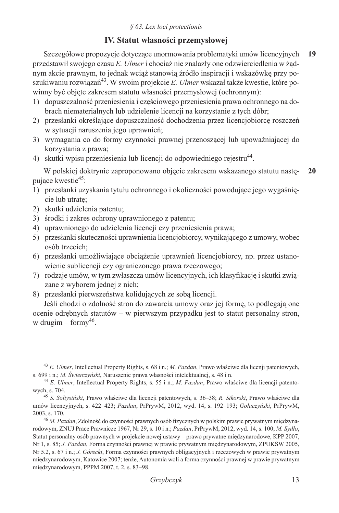## **IV. Statut własności przemysłowej**

Szczegółowe propozycje dotyczące unormowania problematyki umów licencyjnych przedstawił swojego czasu *E. Ulmer* i chociaż nie znalazły one odzwierciedlenia w żądnym akcie prawnym, to jednak wciąż stanowią źródło inspiracji i wskazówkę przy poszukiwaniu rozwiązań43. W swoim projekcie *E. Ulmer* wskazał także kwestie, które powinny być objęte zakresem statutu własności przemysłowej (ochronnym): **19**

- 1) dopuszczalność przeniesienia i częściowego przeniesienia prawa ochronnego na dobrach niematerialnych lub udzielenie licencji na korzystanie z tych dóbr;
- 2) przesłanki określające dopuszczalność dochodzenia przez licencjobiorcę roszczeń w sytuacji naruszenia jego uprawnień;
- 3) wymagania co do formy czynności prawnej przenoszącej lub upoważniającej do korzystania z prawa;
- 4) skutki wpisu przeniesienia lub licencji do odpowiedniego rejestru<sup>44</sup>.

W polskiej doktrynie zaproponowano objęcie zakresem wskazanego statutu następujące kwestie<sup>45</sup>: **20**

- 1) przesłanki uzyskania tytułu ochronnego i okoliczności powodujące jego wygaśnięcie lub utratę;
- 2) skutki udzielenia patentu;
- 3) środki i zakres ochrony uprawnionego z patentu;
- 4) uprawnionego do udzielenia licencji czy przeniesienia prawa;
- 5) przesłanki skuteczności uprawnienia licencjobiorcy, wynikającego z umowy, wobec osób trzecich;
- 6) przesłanki umożliwiające obciążenie uprawnień licencjobiorcy, np. przez ustanowienie sublicencji czy ograniczonego prawa rzeczowego;
- 7) rodzaje umów, w tym zwłaszcza umów licencyjnych, ich klasyfikację i skutki związane z wyborem jednej z nich;
- 8) przesłanki pierwszeństwa kolidujących ze sobą licencji.

Jeśli chodzi o zdolność stron do zawarcia umowy oraz jej formę, to podlegają one ocenie odrębnych statutów – w pierwszym przypadku jest to statut personalny stron, w drugim – formy<sup>46</sup>.

<sup>43</sup> *E. Ulmer*, Intellectual Property Rights, s. 68 i n.; *M. Pazdan*, Prawo właściwe dla licenji patentowych, s. 699 i n.; *M. Świerczyński*, Naruszenie prawa własności intelektualnej, s. 48 i n. 44 *E. Ulmer*, Intellectual Property Rights, s. 55 i n.; *M. Pazdan*, Prawo właściwe dla licencji patento-

wych, s. 704.

<sup>45</sup> *S. Sołtysiński*, Prawo właściwe dla licencji patentowych, s. 36–38; *R. Sikorski*, Prawo właściwe dla umów licencyjnych, s. 422–423; *Pazdan*, PrPrywM, 2012, wyd. 14, s. 192–193; *Gołaczyński*, PrPrywM, 2003, s. 170.

<sup>46</sup> *M. Pazdan*, Zdolność do czynności prawnych osób fizycznych w polskim prawie prywatnym międzynarodowym, ZNUJ Prace Prawnicze 1967, Nr 29, s. 10 i n.; *Pazdan*, PrPrywM, 2012, wyd. 14, s. 100; *M. Sydło*, Statut personalny osób prawnych w projekcie nowej ustawy – prawo prywatne międzynarodowe, KPP 2007, Nr 1, s. 85; *J. Pazdan*, Forma czynności prawnej w prawie prywatnym międzynarodowym, ZPUKSW 2005, Nr 5.2, s. 67 i n.; *J. Górecki*, Forma czynności prawnych obligacyjnych i rzeczowych w prawie prywatnym międzynarodowym, Katowice 2007; tenże, Autonomia woli a forma czynności prawnej w prawie prywatnym międzynarodowym, PPPM 2007, t. 2, s. 83–98.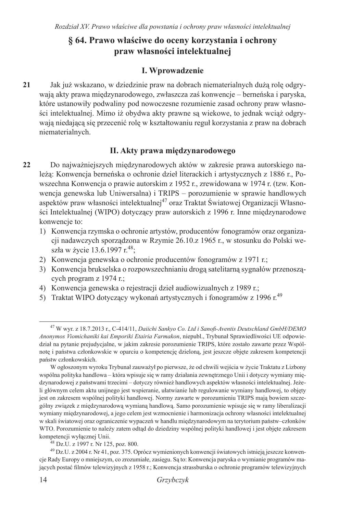## **§ 64. Prawo właściwe do oceny korzystania i ochrony praw własności intelektualnej**

## **I. Wprowadzenie**

Jak już wskazano, w dziedzinie praw na dobrach niematerialnych dużą rolę odgrywają akty prawa międzynarodowego, zwłaszcza zaś konwencje – berneńska i paryska, które ustanowiły podwaliny pod nowoczesne rozumienie zasad ochrony praw własności intelektualnej. Mimo iż obydwa akty prawne są wiekowe, to jednak wciąż odgrywają niedającą się przecenić rolę w kształtowaniu reguł korzystania z praw na dobrach niematerialnych. **21**

## **II. Akty prawa międzynarodowego**

- Do najważniejszych międzynarodowych aktów w zakresie prawa autorskiego należą: Konwencja berneńska o ochronie dzieł literackich i artystycznych z 1886 r., Powszechna Konwencja o prawie autorskim z 1952 r., zrewidowana w 1974 r. (tzw. Konwencja genewska lub Uniwersalna) i TRIPS – porozumienie w sprawie handlowych aspektów praw własności intelektualnej<sup>47</sup> oraz Traktat Światowej Organizacji Własności Intelektualnej (WIPO) dotyczący praw autorskich z 1996 r. Inne międzynarodowe konwencje to: **22**
	- 1) Konwencja rzymska o ochronie artystów, producentów fonogramów oraz organizacji nadawczych sporządzona w Rzymie 26.10.z 1965 r., w stosunku do Polski weszła w życie 13.6.1997 r.<sup>48</sup>;
	- 2) Konwencja genewska o ochronie producentów fonogramów z 1971 r.;
	- 3) Konwencja brukselska o rozpowszechnianiu drogą satelitarną sygnałów przenoszących program z 1974 r.;
	- 4) Konwencja genewska o rejestracji dzieł audiowizualnych z 1989 r.;
	- 5) Traktat WIPO dotyczący wykonań artystycznych i fonogramów z 1996 r.<sup>49</sup>

<sup>47</sup> W wyr. z 18.7.2013 r., C-414/11, *Daiichi Sankyo Co. Ltd i Sanofi-Aventis Deutschland GmbH/DEMO Anonymos Viomichaniki kai Emporiki Etairia Farmakon*, niepubl., Trybunał Sprawiedliwości UE odpowiedział na pytanie prejudycjalne, w jakim zakresie porozumienie TRIPS, które zostało zawarte przez Wspólnotę i państwa członkowskie w oparciu o kompetencję dzieloną, jest jeszcze objęte zakresem kompetencji państw członkowskich.

W ogłoszonym wyroku Trybunał zauważył po pierwsze, że od chwili wejścia w życie Traktatu z Lizbony wspólna polityka handlowa – która wpisuje się w ramy działania zewnętrznego Unii i dotyczy wymiany międzynarodowej z państwami trzecimi – dotyczy również handlowych aspektów własności intelektualnej. Jeżeli głównym celem aktu unijnego jest wspieranie, ułatwianie lub regulowanie wymiany handlowej, to objęty jest on zakresem wspólnej polityki handlowej. Normy zawarte w porozumieniu TRIPS mają bowiem szczególny związek z międzynarodową wymianą handlową. Samo porozumienie wpisuje się w ramy liberalizacji wymiany międzynarodowej, a jego celem jest wzmocnienie i harmonizacja ochrony własności intelektualnej w skali światowej oraz ograniczenie wypaczeń w handlu międzynarodowym na terytorium państw–członków WTO. Porozumienie to należy zatem odtąd do dziedziny wspólnej polityki handlowej i jest objęte zakresem kompetencji wyłącznej Unii. 48 Dz.U. z 1997 r. Nr 125, poz. 800.

<sup>49</sup> Dz.U. z 2004 r. Nr 41, poz. 375. Oprócz wymienionych konwencji światowych istnieją jeszcze konwencje Rady Europy o mniejszym, co zrozumiałe, zasięgu. Są to: Konwencja paryska o wymianie programów mających postać filmów telewizyjnych z 1958 r.; Konwencja strassburska o ochronie programów telewizyjnych